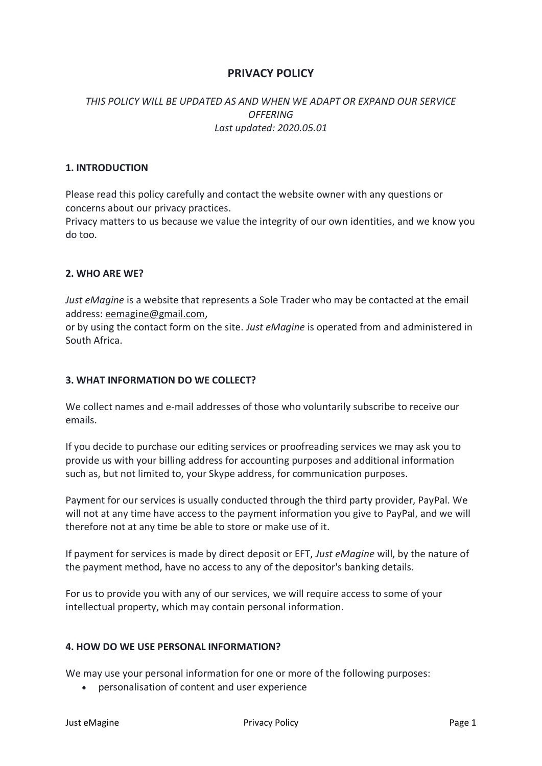# **PRIVACY POLICY**

# *THIS POLICY WILL BE UPDATED AS AND WHEN WE ADAPT OR EXPAND OUR SERVICE OFFERING Last updated: 2020.05.01*

## **1. INTRODUCTION**

Please read this policy carefully and contact the website owner with any questions or concerns about our privacy practices.

Privacy matters to us because we value the integrity of our own identities, and we know you do too.

### **2. WHO ARE WE?**

*Just eMagine* is a website that represents a Sole Trader who may be contacted at the email address: eemagine@gmail.com,

or by using the contact form on the site. *Just eMagine* is operated from and administered in South Africa.

### **3. WHAT INFORMATION DO WE COLLECT?**

We collect names and e-mail addresses of those who voluntarily subscribe to receive our emails.

If you decide to purchase our editing services or proofreading services we may ask you to provide us with your billing address for accounting purposes and additional information such as, but not limited to, your Skype address, for communication purposes.

Payment for our services is usually conducted through the third party provider, PayPal. We will not at any time have access to the payment information you give to PayPal, and we will therefore not at any time be able to store or make use of it.

If payment for services is made by direct deposit or EFT, *Just eMagine* will, by the nature of the payment method, have no access to any of the depositor's banking details.

For us to provide you with any of our services, we will require access to some of your intellectual property, which may contain personal information.

### **4. HOW DO WE USE PERSONAL INFORMATION?**

We may use your personal information for one or more of the following purposes:

• personalisation of content and user experience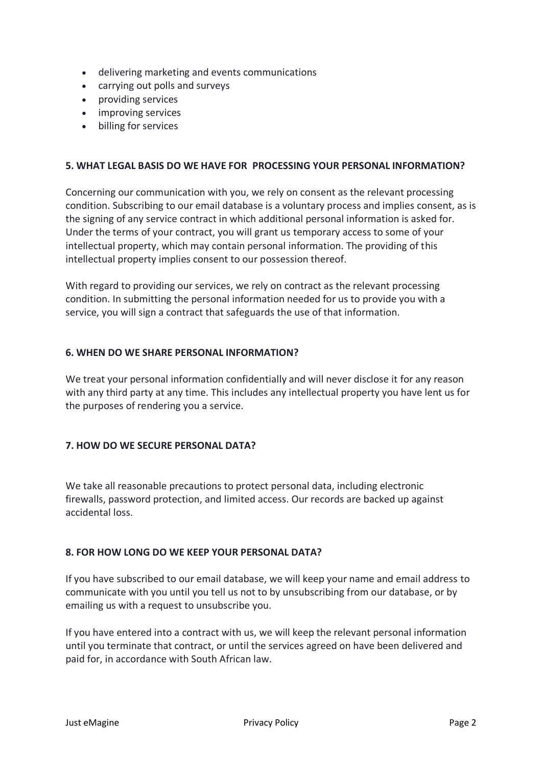- delivering marketing and events communications
- carrying out polls and surveys
- providing services
- improving services
- billing for services

## **5. WHAT LEGAL BASIS DO WE HAVE FOR PROCESSING YOUR PERSONAL INFORMATION?**

Concerning our communication with you, we rely on consent as the relevant processing condition. Subscribing to our email database is a voluntary process and implies consent, as is the signing of any service contract in which additional personal information is asked for. Under the terms of your contract, you will grant us temporary access to some of your intellectual property, which may contain personal information. The providing of this intellectual property implies consent to our possession thereof.

With regard to providing our services, we rely on contract as the relevant processing condition. In submitting the personal information needed for us to provide you with a service, you will sign a contract that safeguards the use of that information.

### **6. WHEN DO WE SHARE PERSONAL INFORMATION?**

We treat your personal information confidentially and will never disclose it for any reason with any third party at any time. This includes any intellectual property you have lent us for the purposes of rendering you a service.

## **7. HOW DO WE SECURE PERSONAL DATA?**

We take all reasonable precautions to protect personal data, including electronic firewalls, password protection, and limited access. Our records are backed up against accidental loss.

## **8. FOR HOW LONG DO WE KEEP YOUR PERSONAL DATA?**

If you have subscribed to our email database, we will keep your name and email address to communicate with you until you tell us not to by unsubscribing from our database, or by emailing us with a request to unsubscribe you.

If you have entered into a contract with us, we will keep the relevant personal information until you terminate that contract, or until the services agreed on have been delivered and paid for, in accordance with South African law.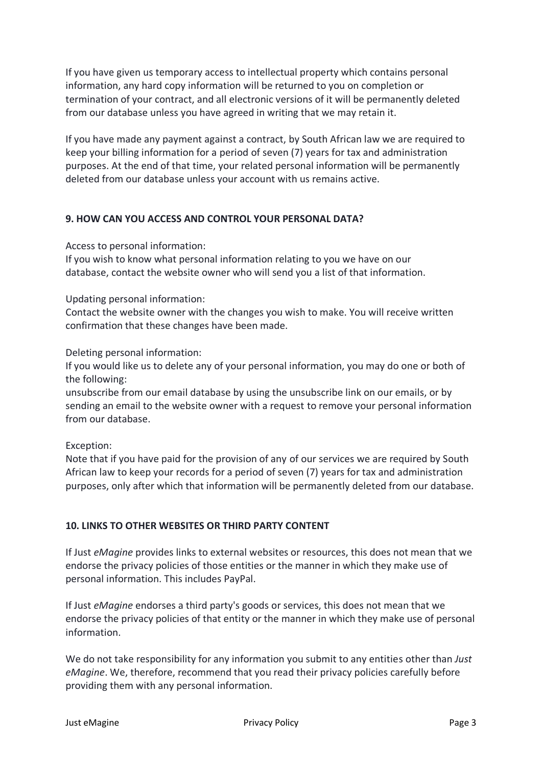If you have given us temporary access to intellectual property which contains personal information, any hard copy information will be returned to you on completion or termination of your contract, and all electronic versions of it will be permanently deleted from our database unless you have agreed in writing that we may retain it.

If you have made any payment against a contract, by South African law we are required to keep your billing information for a period of seven (7) years for tax and administration purposes. At the end of that time, your related personal information will be permanently deleted from our database unless your account with us remains active.

## **9. HOW CAN YOU ACCESS AND CONTROL YOUR PERSONAL DATA?**

Access to personal information:

If you wish to know what personal information relating to you we have on our database, contact the website owner who will send you a list of that information.

Updating personal information:

Contact the website owner with the changes you wish to make. You will receive written confirmation that these changes have been made.

Deleting personal information:

If you would like us to delete any of your personal information, you may do one or both of the following:

unsubscribe from our email database by using the unsubscribe link on our emails, or by sending an email to the website owner with a request to remove your personal information from our database.

Exception:

Note that if you have paid for the provision of any of our services we are required by South African law to keep your records for a period of seven (7) years for tax and administration purposes, only after which that information will be permanently deleted from our database.

## **10. LINKS TO OTHER WEBSITES OR THIRD PARTY CONTENT**

If Just *eMagine* provides links to external websites or resources, this does not mean that we endorse the privacy policies of those entities or the manner in which they make use of personal information. This includes PayPal.

If Just *eMagine* endorses a third party's goods or services, this does not mean that we endorse the privacy policies of that entity or the manner in which they make use of personal information.

We do not take responsibility for any information you submit to any entities other than *Just eMagine*. We, therefore, recommend that you read their privacy policies carefully before providing them with any personal information.